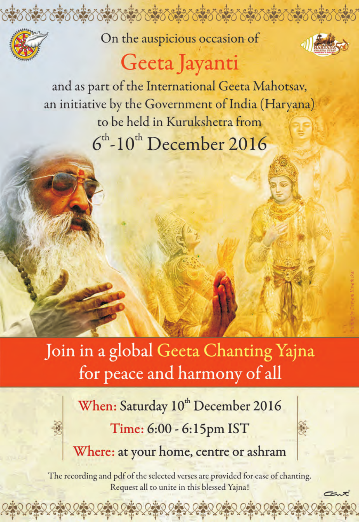

On the auspicious occasion of



# Geeta Jayanti

and as part of the International Geeta Mahotsav, an initiative by the Government of India (Haryana) to be held in Kurukshetra from  $6<sup>th</sup>$ -10<sup>th</sup> December 2016

Join in a global Geeta Chanting Yajna for peace and harmony of all

> When: Saturday 10<sup>th</sup> December 2016 Time: 6:00 - 6:15pm IST Where: at your home, centre or ashram

The recording and pdf of the selected verses are provided for ease of chanting. Request all to unite in this blessed Yajna!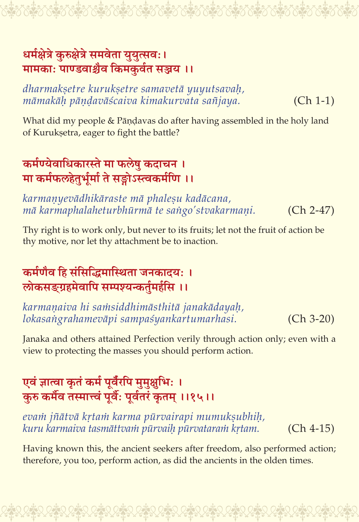#### धर्मक्षेत्रे कुरुक्षेत्रे समवेता युयुत्सवः। मामकाः पाण्डवाश्चैव किमकर्वत सञ्जय ।।

dharmakşetre kurukşetre samavetā yuyutsavah, māmakāh pāndavāścaiva kimakurvata sañjaya.  $(Ch 1-1)$ 

What did my people & Pāṇḍavas do after having assembled in the holy land of Kuruksetra, eager to fight the battle?

# कर्मण्येवाधिकारस्ते मा फलेषु कदाचन । मा कर्मफलहेतुर्भूर्मा ते सङ्गोऽस्त्वकर्मणि ।।

karmaņyevādhikāraste mā phaleșu kadācana, mā karmaphalaheturbhūrmā te sango'stvakarmaņi.  $(Ch 2-47)$ 

Thy right is to work only, but never to its fruits; let not the fruit of action be thy motive, nor let thy attachment be to inaction.

#### कर्मणैव हि संसिद्धिमास्थिता जनकादयः । लोकसङ्ग्रहमेवापि सम्पश्यन्कर्तमर्हसि ।।

karmaņaiva hi samsiddhimāsthitā janakādayah, lokasangrahamevāpi sampaśyankartumarhasi.  $(Ch 3-20)$ 

Janaka and others attained Perfection verily through action only; even with a view to protecting the masses you should perform action.

# एवं ज्ञात्वा कृतं कर्म पूर्वंरपि मुमुक्षुभिः । करु कर्मैव तस्मात्त्वं पर्वै: पर्वतरं कतम ।।१५।।

evam jñātvā krtam karma pūrvairapi mumuksubhih, kuru karmaiva tasmāttvam pūrvaih pūrvataram krtam.  $(Ch 4-15)$ 

Having known this, the ancient seekers after freedom, also performed action; therefore, you too, perform action, as did the ancients in the olden times.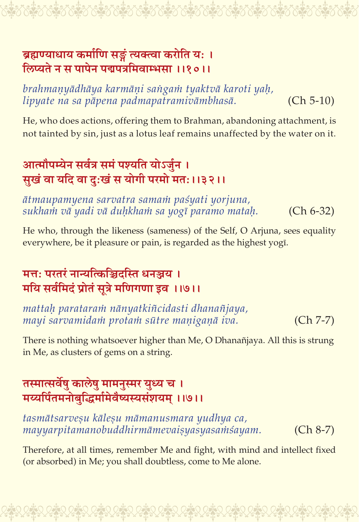#### ब्रह्मण्याधाय कर्माणि सङ्गं त्यक्त्वा करोति यः । लिप्यते न स पापेन पद्मपत्रमिवाम्भसा ।।१०।।

brahmanyādhāya karmāņi sangam tyaktvā karoti yah, lipyate na sa pāpena padmapatramivāmbhasā.  $(Ch 5-10)$ 

He, who does actions, offering them to Brahman, abandoning attachment, is not tainted by sin, just as a lotus leaf remains unaffected by the water on it.

# आत्मौपम्येन सर्वत्र समं पश्यति योऽर्जुन । सुखं वा यदि वा दुःखं स योगी परमो मत: ।।३२।।

ātmaupamyena sarvatra samam paśyati yorjuna, sukham vā yadi vā duhkham sa yogī paramo matah.  $(Ch 6-32)$ 

He who, through the likeness (sameness) of the Self, O Arjuna, sees equality everywhere, be it pleasure or pain, is regarded as the highest yogī.

#### मत्त: परतरं नान्यत्किञ्चिदस्ति धनञ्चय । मयि सर्वमिदं प्रोतं सुत्रे मणिगणा इव ।।७।।

mattah parataram nānyatkiñcidasti dhanañjaya, mayi sarvamidam protam sūtre maniganā iva.  $(Ch 7-7)$ 

There is nothing whatsoever higher than Me, O Dhanañjaya. All this is strung in Me, as clusters of gems on a string.

#### तस्मात्सर्वेषु कालेषु मामनुस्मर युध्य च । मय्यर्पितमनोबद्धिर्मामेवैष्यस्यसंशयम् ।।७।।

tasmātsarveşu kāleşu māmanusmara yudhya ca, mayyarpitamanobuddhirmāmevaisyasyasamśayam.  $(Ch 8-7)$ 

Therefore, at all times, remember Me and fight, with mind and intellect fixed (or absorbed) in Me; you shall doubtless, come to Me alone.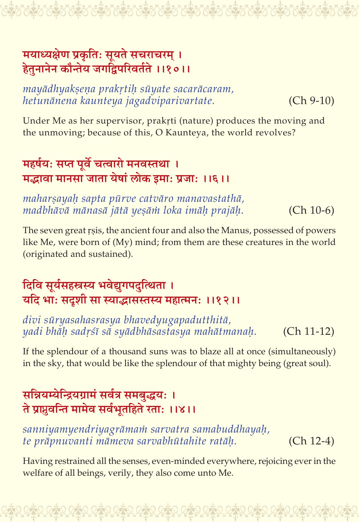#### मयाध्यक्षेण प्रकृतिः सूयते सचराचरम् । हेतुनानेन कौन्तेय जगद्विपरिवर्तते ।।१०।।

mayādhyakṣeṇa prakṛtiḥ sūyate sacarācaram, hetunānena kaunteya jagadviparivartate.

 $(Ch 9-10)$ 

Under Me as her supervisor, prakrti (nature) produces the moving and the unmoving; because of this, O Kaunteya, the world revolves?

# महर्षय: सप्त पूर्वे चत्वारो मनवस्तथा । मद्भावा मानसा जाता येषां लोक इमा: प्रजा: ।।६।।

maharșayah sapta pūrve catvāro manavastathā, madbhāvā mānasā jātā yesām loka imāķ prajāķ.  $(Ch 10-6)$ 

The seven great rsis, the ancient four and also the Manus, possessed of powers like Me, were born of (My) mind; from them are these creatures in the world (originated and sustained).

## दिवि सूर्यसहस्रस्य भवेद्युगपदुत्थिता । यदि भाः सदृशी सा स्याद्धासस्तस्य महात्मनः ।।१२।।

divi sūryasahasrasya bhavedyugapadutthitā, yadi bhāh sadrśī sā syādbhāsastasya mahātmanah.  $(Ch 11-12)$ 

If the splendour of a thousand suns was to blaze all at once (simultaneously) in the sky, that would be like the splendour of that mighty being (great soul).

## सन्नियम्येन्द्रियग्रामं सर्वत्र समबुद्धयः । ते प्राप्नवन्ति मामेव सर्वभूतहिते रताः ।।४।।

sanniyamyendriyagrāmam sarvatra samabuddhayah, te prāpnuvanti māmeva sarvabhūtahite ratāh.  $(Ch 12-4)$ 

Having restrained all the senses, even-minded everywhere, rejoicing ever in the welfare of all beings, verily, they also come unto Me.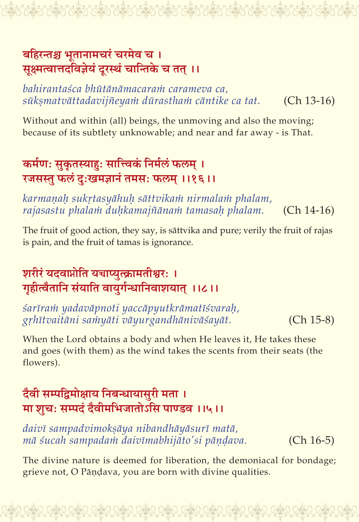#### बहिरन्तश्च भुतानामचरं चरमेव च । सक्ष्मत्वात्तदविज्ञेयं दरस्थं चान्तिके च तत् ।।

#### bahirantaśca bhūtānāmacaram carameva ca, sūksmatvāttadavijñeyam dūrastham cāntike ca tat.  $(Ch 13-16)$

Without and within (all) beings, the unmoving and also the moving; because of its subtlety unknowable; and near and far away - is That.

# कर्मणः सुकृतस्याहः सात्त्विकं निर्मलं फलम् । रजसस्तु फलं दुःखमज्ञानं तमसः फलम् ।।१६।।

karmanah sukrtasyāhuh sāttvikam nirmalam phalam, rajasastu phalam duhkamajñānam tamasah phalam.  $(Ch 14-16)$ 

The fruit of good action, they say, is sāttvika and pure; verily the fruit of rajas is pain, and the fruit of tamas is ignorance.

## शरीरं यदवाप्नोति यचाप्यत्क्रामतीश्वरः । गृहीत्वैतानि संयाति वायुर्गन्धानिवाशयात् ।।८।।

śarīram yadavāpnoti yaccāpyutkrāmatīśvarah, grhītvaitāni samyāti vāyurgandhānivāśayāt.  $(Ch 15-8)$ 

When the Lord obtains a body and when He leaves it, He takes these and goes (with them) as the wind takes the scents from their seats (the flowers).

# दैवी सम्पद्विमोक्षाय निबन्धायासुरी मता । मा शृचः सम्पदं दैवीमभिजातोऽसि पाण्डव ।।५।।

daivī sampadvimoksāya nibandhāyāsurī matā, mā śucah sampadam daivīmabhijāto'si pāņdava.  $(Ch 16-5)$ 

The divine nature is deemed for liberation, the demoniacal for bondage; grieve not, O Pāņdava, you are born with divine qualities.